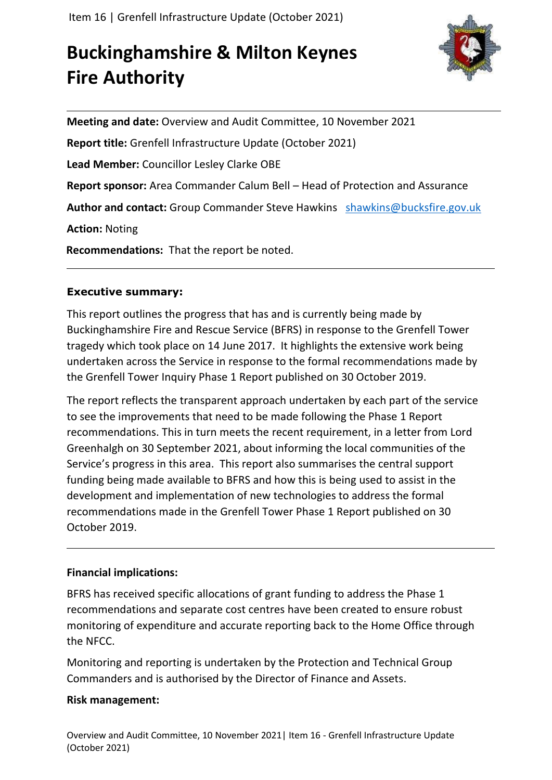# **Buckinghamshire & Milton Keynes Fire Authority**



**Meeting and date:** Overview and Audit Committee, 10 November 2021 **Report title:** Grenfell Infrastructure Update (October 2021) **Lead Member:** Councillor Lesley Clarke OBE **Report sponsor:** Area Commander Calum Bell – Head of Protection and Assurance **Author and contact:** Group Commander Steve Hawkins [shawkins@bucksfire.gov.uk](mailto:shawkins@bucksfire.gov.uk) **Action:** Noting **Recommendations:** That the report be noted.

# **Executive summary:**

This report outlines the progress that has and is currently being made by Buckinghamshire Fire and Rescue Service (BFRS) in response to the Grenfell Tower tragedy which took place on 14 June 2017. It highlights the extensive work being undertaken across the Service in response to the formal recommendations made by the Grenfell Tower Inquiry Phase 1 Report published on 30 October 2019.

The report reflects the transparent approach undertaken by each part of the service to see the improvements that need to be made following the Phase 1 Report recommendations. This in turn meets the recent requirement, in a letter from Lord Greenhalgh on 30 September 2021, about informing the local communities of the Service's progress in this area. This report also summarises the central support funding being made available to BFRS and how this is being used to assist in the development and implementation of new technologies to address the formal recommendations made in the Grenfell Tower Phase 1 Report published on 30 October 2019.

# **Financial implications:**

BFRS has received specific allocations of grant funding to address the Phase 1 recommendations and separate cost centres have been created to ensure robust monitoring of expenditure and accurate reporting back to the Home Office through the NFCC.

Monitoring and reporting is undertaken by the Protection and Technical Group Commanders and is authorised by the Director of Finance and Assets.

# **Risk management:**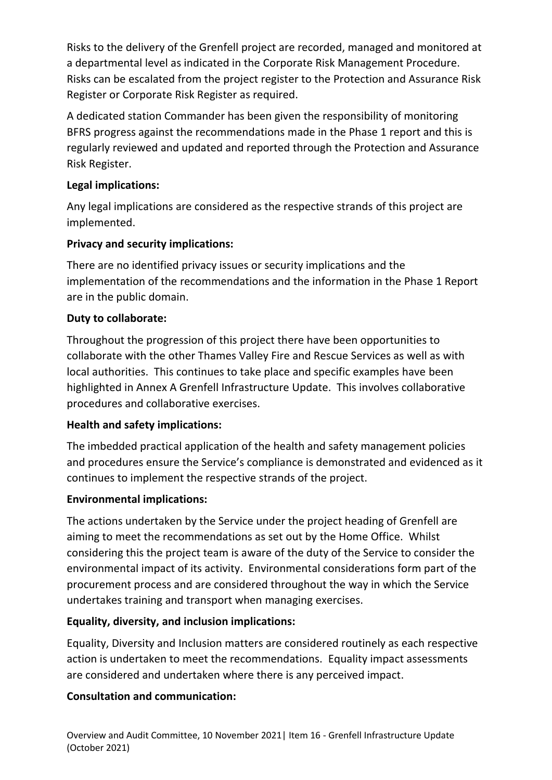Risks to the delivery of the Grenfell project are recorded, managed and monitored at a departmental level as indicated in the Corporate Risk Management Procedure. Risks can be escalated from the project register to the Protection and Assurance Risk Register or Corporate Risk Register as required.

A dedicated station Commander has been given the responsibility of monitoring BFRS progress against the recommendations made in the Phase 1 report and this is regularly reviewed and updated and reported through the Protection and Assurance Risk Register.

# **Legal implications:**

Any legal implications are considered as the respective strands of this project are implemented.

# **Privacy and security implications:**

There are no identified privacy issues or security implications and the implementation of the recommendations and the information in the Phase 1 Report are in the public domain.

# **Duty to collaborate:**

Throughout the progression of this project there have been opportunities to collaborate with the other Thames Valley Fire and Rescue Services as well as with local authorities. This continues to take place and specific examples have been highlighted in Annex A Grenfell Infrastructure Update. This involves collaborative procedures and collaborative exercises.

# **Health and safety implications:**

The imbedded practical application of the health and safety management policies and procedures ensure the Service's compliance is demonstrated and evidenced as it continues to implement the respective strands of the project.

# **Environmental implications:**

The actions undertaken by the Service under the project heading of Grenfell are aiming to meet the recommendations as set out by the Home Office. Whilst considering this the project team is aware of the duty of the Service to consider the environmental impact of its activity. Environmental considerations form part of the procurement process and are considered throughout the way in which the Service undertakes training and transport when managing exercises.

# **Equality, diversity, and inclusion implications:**

Equality, Diversity and Inclusion matters are considered routinely as each respective action is undertaken to meet the recommendations. Equality impact assessments are considered and undertaken where there is any perceived impact.

# **Consultation and communication:**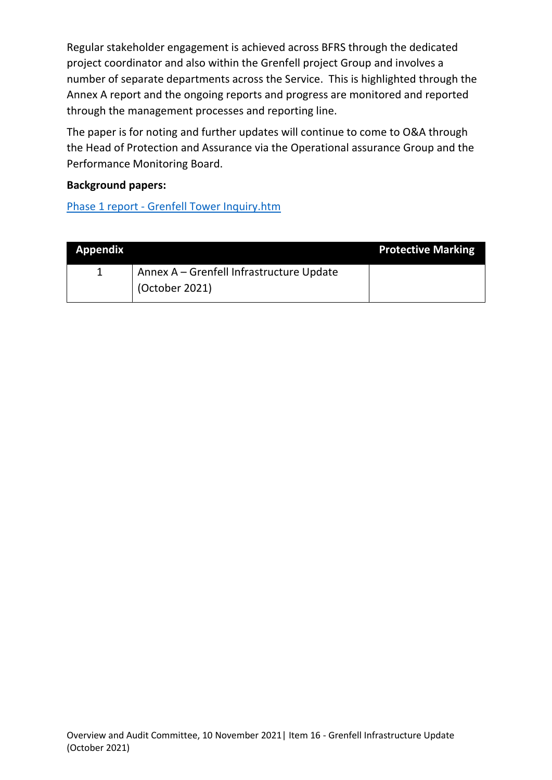Regular stakeholder engagement is achieved across BFRS through the dedicated project coordinator and also within the Grenfell project Group and involves a number of separate departments across the Service. This is highlighted through the Annex A report and the ongoing reports and progress are monitored and reported through the management processes and reporting line.

The paper is for noting and further updates will continue to come to O&A through the Head of Protection and Assurance via the Operational assurance Group and the Performance Monitoring Board.

#### **Background papers:**

Phase 1 report - [Grenfell Tower Inquiry.htm](Phase%201%20report%20-%20Grenfell%20Tower%20Inquiry.htm)

| <b>Appendix</b> |                                          | <b>Protective Marking</b> |
|-----------------|------------------------------------------|---------------------------|
|                 | Annex A - Grenfell Infrastructure Update |                           |
|                 | (October 2021)                           |                           |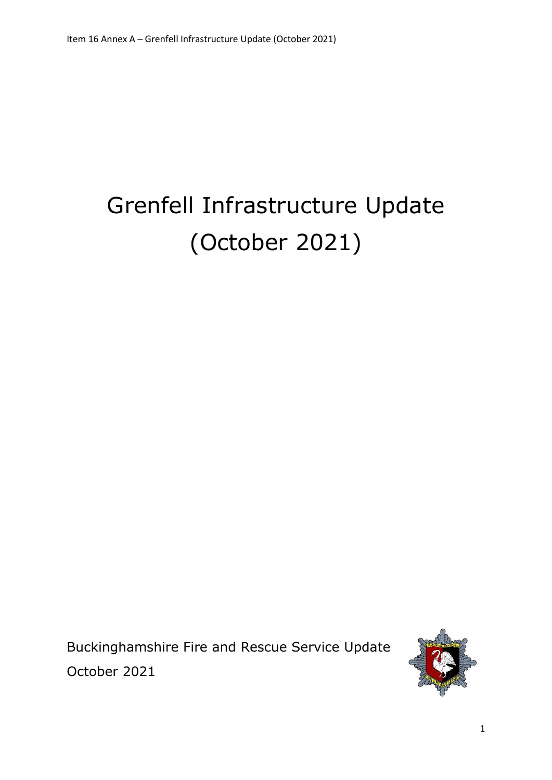# Grenfell Infrastructure Update (October 2021)

Buckinghamshire Fire and Rescue Service Update October 2021

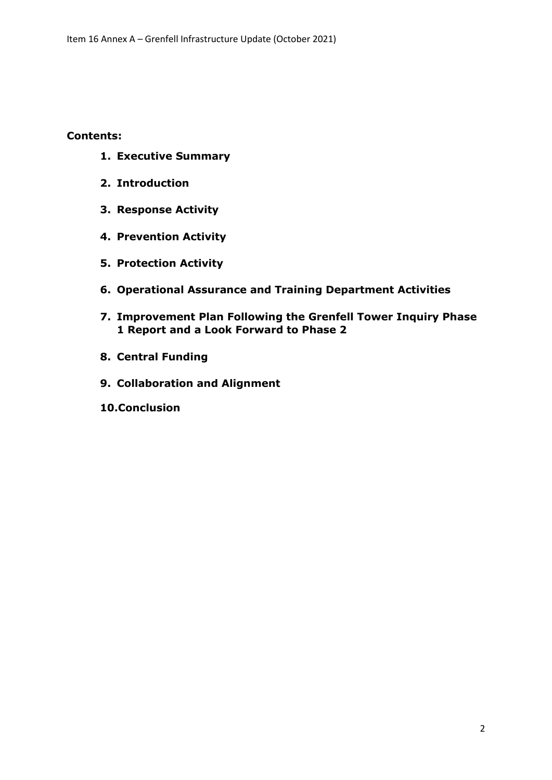#### **Contents:**

- **1. Executive Summary**
- **2. Introduction**
- **3. Response Activity**
- **4. Prevention Activity**
- **5. Protection Activity**
- **6. Operational Assurance and Training Department Activities**
- **7. Improvement Plan Following the Grenfell Tower Inquiry Phase 1 Report and a Look Forward to Phase 2**
- **8. Central Funding**
- **9. Collaboration and Alignment**
- **10.Conclusion**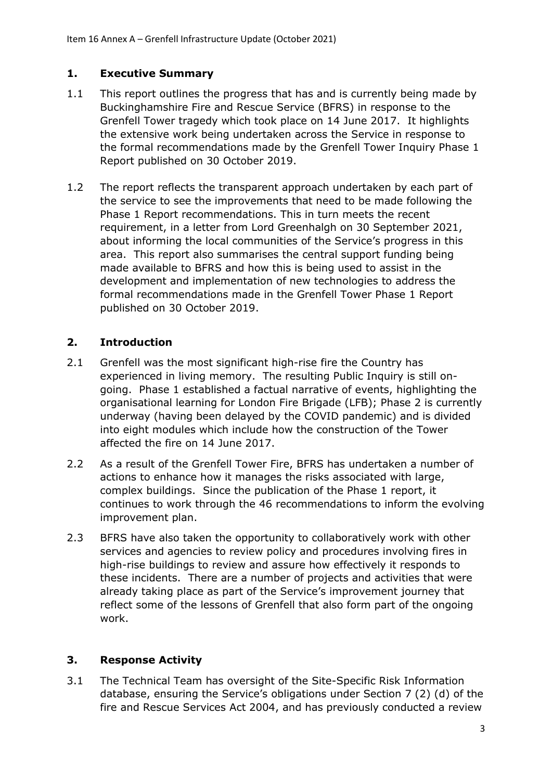# **1. Executive Summary**

- 1.1 This report outlines the progress that has and is currently being made by Buckinghamshire Fire and Rescue Service (BFRS) in response to the Grenfell Tower tragedy which took place on 14 June 2017. It highlights the extensive work being undertaken across the Service in response to the formal recommendations made by the Grenfell Tower Inquiry Phase 1 Report published on 30 October 2019.
- 1.2 The report reflects the transparent approach undertaken by each part of the service to see the improvements that need to be made following the Phase 1 Report recommendations. This in turn meets the recent requirement, in a letter from Lord Greenhalgh on 30 September 2021, about informing the local communities of the Service's progress in this area. This report also summarises the central support funding being made available to BFRS and how this is being used to assist in the development and implementation of new technologies to address the formal recommendations made in the Grenfell Tower Phase 1 Report published on 30 October 2019.

# **2. Introduction**

- 2.1 Grenfell was the most significant high-rise fire the Country has experienced in living memory. The resulting Public Inquiry is still ongoing. Phase 1 established a factual narrative of events, highlighting the organisational learning for London Fire Brigade (LFB); Phase 2 is currently underway (having been delayed by the COVID pandemic) and is divided into eight modules which include how the construction of the Tower affected the fire on 14 June 2017.
- 2.2 As a result of the Grenfell Tower Fire, BFRS has undertaken a number of actions to enhance how it manages the risks associated with large, complex buildings. Since the publication of the Phase 1 report, it continues to work through the 46 recommendations to inform the evolving improvement plan.
- 2.3 BFRS have also taken the opportunity to collaboratively work with other services and agencies to review policy and procedures involving fires in high-rise buildings to review and assure how effectively it responds to these incidents. There are a number of projects and activities that were already taking place as part of the Service's improvement journey that reflect some of the lessons of Grenfell that also form part of the ongoing work.

# **3. Response Activity**

3.1 The Technical Team has oversight of the Site-Specific Risk Information database, ensuring the Service's obligations under Section 7 (2) (d) of the fire and Rescue Services Act 2004, and has previously conducted a review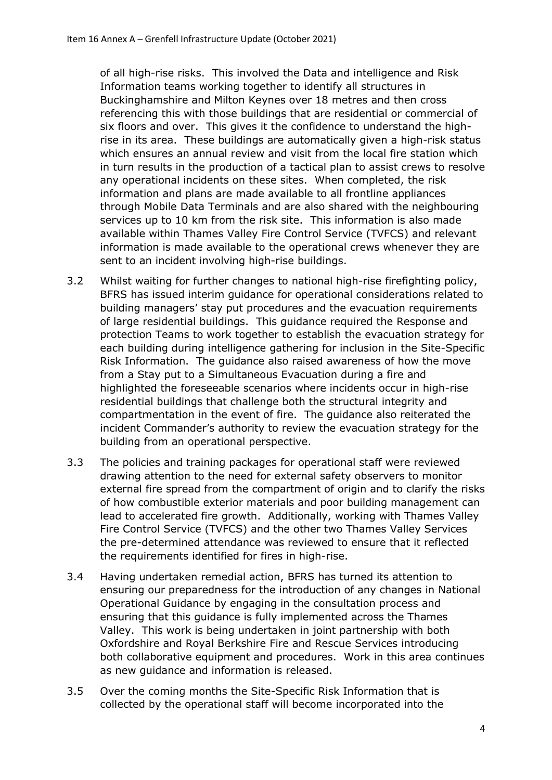of all high-rise risks. This involved the Data and intelligence and Risk Information teams working together to identify all structures in Buckinghamshire and Milton Keynes over 18 metres and then cross referencing this with those buildings that are residential or commercial of six floors and over. This gives it the confidence to understand the highrise in its area. These buildings are automatically given a high-risk status which ensures an annual review and visit from the local fire station which in turn results in the production of a tactical plan to assist crews to resolve any operational incidents on these sites. When completed, the risk information and plans are made available to all frontline appliances through Mobile Data Terminals and are also shared with the neighbouring services up to 10 km from the risk site. This information is also made available within Thames Valley Fire Control Service (TVFCS) and relevant information is made available to the operational crews whenever they are sent to an incident involving high-rise buildings.

- 3.2 Whilst waiting for further changes to national high-rise firefighting policy, BFRS has issued interim guidance for operational considerations related to building managers' stay put procedures and the evacuation requirements of large residential buildings. This guidance required the Response and protection Teams to work together to establish the evacuation strategy for each building during intelligence gathering for inclusion in the Site-Specific Risk Information. The guidance also raised awareness of how the move from a Stay put to a Simultaneous Evacuation during a fire and highlighted the foreseeable scenarios where incidents occur in high-rise residential buildings that challenge both the structural integrity and compartmentation in the event of fire. The guidance also reiterated the incident Commander's authority to review the evacuation strategy for the building from an operational perspective.
- 3.3 The policies and training packages for operational staff were reviewed drawing attention to the need for external safety observers to monitor external fire spread from the compartment of origin and to clarify the risks of how combustible exterior materials and poor building management can lead to accelerated fire growth. Additionally, working with Thames Valley Fire Control Service (TVFCS) and the other two Thames Valley Services the pre-determined attendance was reviewed to ensure that it reflected the requirements identified for fires in high-rise.
- 3.4 Having undertaken remedial action, BFRS has turned its attention to ensuring our preparedness for the introduction of any changes in National Operational Guidance by engaging in the consultation process and ensuring that this guidance is fully implemented across the Thames Valley. This work is being undertaken in joint partnership with both Oxfordshire and Royal Berkshire Fire and Rescue Services introducing both collaborative equipment and procedures. Work in this area continues as new guidance and information is released.
- 3.5 Over the coming months the Site-Specific Risk Information that is collected by the operational staff will become incorporated into the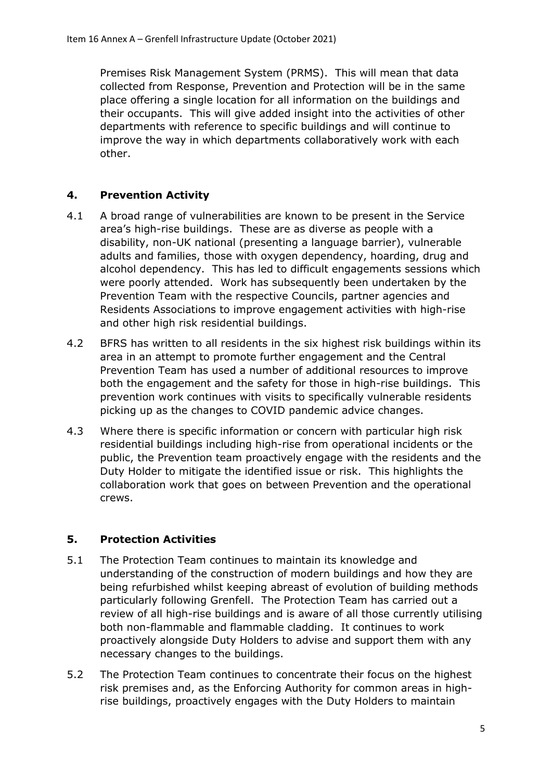Premises Risk Management System (PRMS). This will mean that data collected from Response, Prevention and Protection will be in the same place offering a single location for all information on the buildings and their occupants. This will give added insight into the activities of other departments with reference to specific buildings and will continue to improve the way in which departments collaboratively work with each other.

# **4. Prevention Activity**

- 4.1 A broad range of vulnerabilities are known to be present in the Service area's high-rise buildings. These are as diverse as people with a disability, non-UK national (presenting a language barrier), vulnerable adults and families, those with oxygen dependency, hoarding, drug and alcohol dependency. This has led to difficult engagements sessions which were poorly attended. Work has subsequently been undertaken by the Prevention Team with the respective Councils, partner agencies and Residents Associations to improve engagement activities with high-rise and other high risk residential buildings.
- 4.2 BFRS has written to all residents in the six highest risk buildings within its area in an attempt to promote further engagement and the Central Prevention Team has used a number of additional resources to improve both the engagement and the safety for those in high-rise buildings. This prevention work continues with visits to specifically vulnerable residents picking up as the changes to COVID pandemic advice changes.
- 4.3 Where there is specific information or concern with particular high risk residential buildings including high-rise from operational incidents or the public, the Prevention team proactively engage with the residents and the Duty Holder to mitigate the identified issue or risk. This highlights the collaboration work that goes on between Prevention and the operational crews.

# **5. Protection Activities**

- 5.1 The Protection Team continues to maintain its knowledge and understanding of the construction of modern buildings and how they are being refurbished whilst keeping abreast of evolution of building methods particularly following Grenfell. The Protection Team has carried out a review of all high-rise buildings and is aware of all those currently utilising both non-flammable and flammable cladding. It continues to work proactively alongside Duty Holders to advise and support them with any necessary changes to the buildings.
- 5.2 The Protection Team continues to concentrate their focus on the highest risk premises and, as the Enforcing Authority for common areas in highrise buildings, proactively engages with the Duty Holders to maintain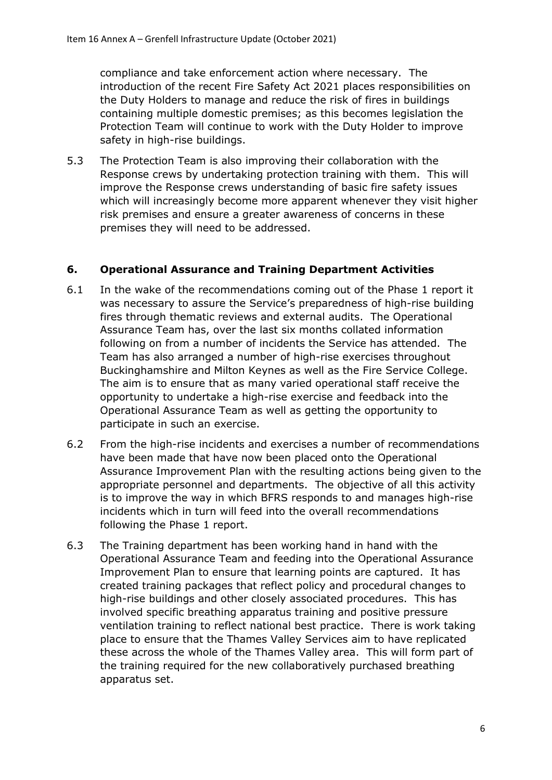compliance and take enforcement action where necessary. The introduction of the recent Fire Safety Act 2021 places responsibilities on the Duty Holders to manage and reduce the risk of fires in buildings containing multiple domestic premises; as this becomes legislation the Protection Team will continue to work with the Duty Holder to improve safety in high-rise buildings.

5.3 The Protection Team is also improving their collaboration with the Response crews by undertaking protection training with them. This will improve the Response crews understanding of basic fire safety issues which will increasingly become more apparent whenever they visit higher risk premises and ensure a greater awareness of concerns in these premises they will need to be addressed.

#### **6. Operational Assurance and Training Department Activities**

- 6.1 In the wake of the recommendations coming out of the Phase 1 report it was necessary to assure the Service's preparedness of high-rise building fires through thematic reviews and external audits. The Operational Assurance Team has, over the last six months collated information following on from a number of incidents the Service has attended. The Team has also arranged a number of high-rise exercises throughout Buckinghamshire and Milton Keynes as well as the Fire Service College. The aim is to ensure that as many varied operational staff receive the opportunity to undertake a high-rise exercise and feedback into the Operational Assurance Team as well as getting the opportunity to participate in such an exercise.
- 6.2 From the high-rise incidents and exercises a number of recommendations have been made that have now been placed onto the Operational Assurance Improvement Plan with the resulting actions being given to the appropriate personnel and departments. The objective of all this activity is to improve the way in which BFRS responds to and manages high-rise incidents which in turn will feed into the overall recommendations following the Phase 1 report.
- 6.3 The Training department has been working hand in hand with the Operational Assurance Team and feeding into the Operational Assurance Improvement Plan to ensure that learning points are captured. It has created training packages that reflect policy and procedural changes to high-rise buildings and other closely associated procedures. This has involved specific breathing apparatus training and positive pressure ventilation training to reflect national best practice. There is work taking place to ensure that the Thames Valley Services aim to have replicated these across the whole of the Thames Valley area. This will form part of the training required for the new collaboratively purchased breathing apparatus set.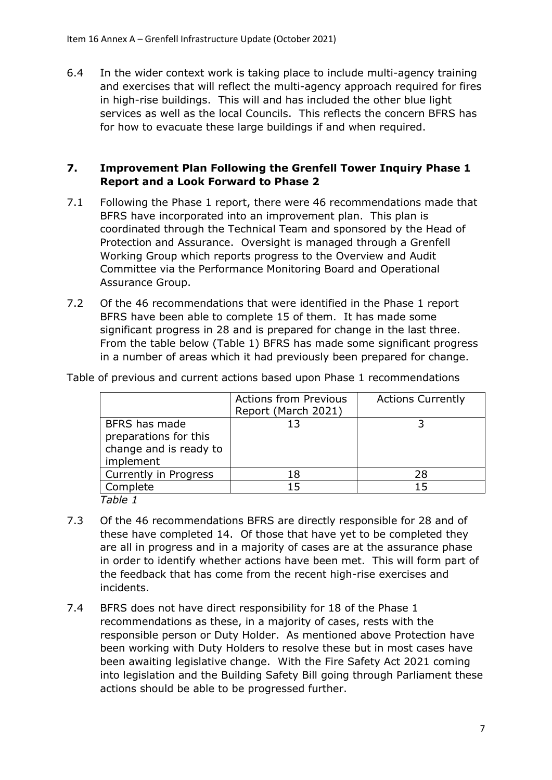6.4 In the wider context work is taking place to include multi-agency training and exercises that will reflect the multi-agency approach required for fires in high-rise buildings. This will and has included the other blue light services as well as the local Councils. This reflects the concern BFRS has for how to evacuate these large buildings if and when required.

#### **7. Improvement Plan Following the Grenfell Tower Inquiry Phase 1 Report and a Look Forward to Phase 2**

- 7.1 Following the Phase 1 report, there were 46 recommendations made that BFRS have incorporated into an improvement plan. This plan is coordinated through the Technical Team and sponsored by the Head of Protection and Assurance. Oversight is managed through a Grenfell Working Group which reports progress to the Overview and Audit Committee via the Performance Monitoring Board and Operational Assurance Group.
- 7.2 Of the 46 recommendations that were identified in the Phase 1 report BFRS have been able to complete 15 of them. It has made some significant progress in 28 and is prepared for change in the last three. From the table below (Table 1) BFRS has made some significant progress in a number of areas which it had previously been prepared for change.

|                                                                               | <b>Actions from Previous</b><br>Report (March 2021) | <b>Actions Currently</b> |
|-------------------------------------------------------------------------------|-----------------------------------------------------|--------------------------|
| BFRS has made<br>preparations for this<br>change and is ready to<br>implement | 13                                                  |                          |
| Currently in Progress                                                         | 18                                                  | 28                       |
| Complete                                                                      | 15                                                  | 15                       |
| Table 1                                                                       |                                                     |                          |

Table of previous and current actions based upon Phase 1 recommendations

- 7.3 Of the 46 recommendations BFRS are directly responsible for 28 and of these have completed 14. Of those that have yet to be completed they are all in progress and in a majority of cases are at the assurance phase in order to identify whether actions have been met. This will form part of the feedback that has come from the recent high-rise exercises and incidents.
- 7.4 BFRS does not have direct responsibility for 18 of the Phase 1 recommendations as these, in a majority of cases, rests with the responsible person or Duty Holder. As mentioned above Protection have been working with Duty Holders to resolve these but in most cases have been awaiting legislative change. With the Fire Safety Act 2021 coming into legislation and the Building Safety Bill going through Parliament these actions should be able to be progressed further.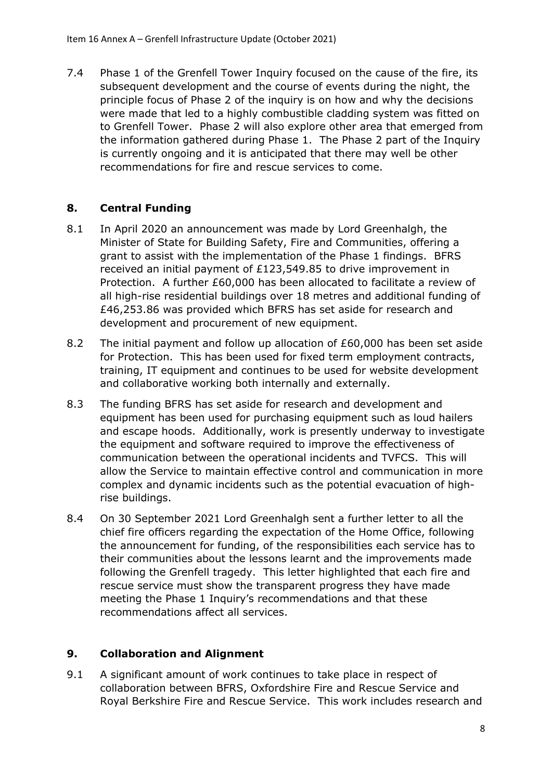7.4 Phase 1 of the Grenfell Tower Inquiry focused on the cause of the fire, its subsequent development and the course of events during the night, the principle focus of Phase 2 of the inquiry is on how and why the decisions were made that led to a highly combustible cladding system was fitted on to Grenfell Tower. Phase 2 will also explore other area that emerged from the information gathered during Phase 1. The Phase 2 part of the Inquiry is currently ongoing and it is anticipated that there may well be other recommendations for fire and rescue services to come.

# **8. Central Funding**

- 8.1 In April 2020 an announcement was made by Lord Greenhalgh, the Minister of State for Building Safety, Fire and Communities, offering a grant to assist with the implementation of the Phase 1 findings. BFRS received an initial payment of £123,549.85 to drive improvement in Protection. A further £60,000 has been allocated to facilitate a review of all high-rise residential buildings over 18 metres and additional funding of £46,253.86 was provided which BFRS has set aside for research and development and procurement of new equipment.
- 8.2 The initial payment and follow up allocation of £60,000 has been set aside for Protection. This has been used for fixed term employment contracts, training, IT equipment and continues to be used for website development and collaborative working both internally and externally.
- 8.3 The funding BFRS has set aside for research and development and equipment has been used for purchasing equipment such as loud hailers and escape hoods. Additionally, work is presently underway to investigate the equipment and software required to improve the effectiveness of communication between the operational incidents and TVFCS. This will allow the Service to maintain effective control and communication in more complex and dynamic incidents such as the potential evacuation of highrise buildings.
- 8.4 On 30 September 2021 Lord Greenhalgh sent a further letter to all the chief fire officers regarding the expectation of the Home Office, following the announcement for funding, of the responsibilities each service has to their communities about the lessons learnt and the improvements made following the Grenfell tragedy. This letter highlighted that each fire and rescue service must show the transparent progress they have made meeting the Phase 1 Inquiry's recommendations and that these recommendations affect all services.

# **9. Collaboration and Alignment**

9.1 A significant amount of work continues to take place in respect of collaboration between BFRS, Oxfordshire Fire and Rescue Service and Royal Berkshire Fire and Rescue Service. This work includes research and